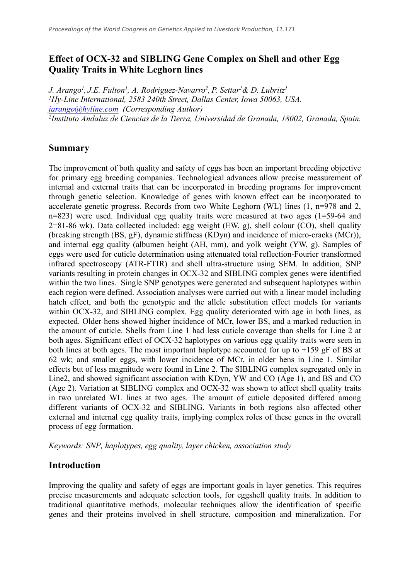# **Effect of OCX-32 and SIBLING Gene Complex on Shell and other Egg Quality Traits in White Leghorn lines**

*J. Arango<sup>1</sup> , J.E. Fulton<sup>1</sup> , A. Rodriguez-Navarro<sup>2</sup> , P. Settar<sup>1</sup>& D. Lubritz 1 <sup>1</sup>Hy-Line International, 2583 240th Street, Dallas Center, Iowa 50063, USA. [jarango@hyline.com](mailto:jarango@hyline.com) (Corresponding Author) 2 Instituto Andaluz de Ciencias de la Tierra, Universidad de Granada, 18002, Granada, Spain.*

#### **Summary**

The improvement of both quality and safety of eggs has been an important breeding objective for primary egg breeding companies. Technological advances allow precise measurement of internal and external traits that can be incorporated in breeding programs for improvement through genetic selection. Knowledge of genes with known effect can be incorporated to accelerate genetic progress. Records from two White Leghorn (WL) lines (1, n=978 and 2, n=823) were used. Individual egg quality traits were measured at two ages (1=59-64 and 2=81-86 wk). Data collected included: egg weight (EW, g), shell colour (CO), shell quality (breaking strength (BS, gF), dynamic stiffness (KDyn) and incidence of micro-cracks (MCr)), and internal egg quality (albumen height (AH, mm), and yolk weight (YW, g). Samples of eggs were used for cuticle determination using attenuated total reflection-Fourier transformed infrared spectroscopy (ATR-FTIR) and shell ultra-structure using SEM. In addition, SNP variants resulting in protein changes in OCX-32 and SIBLING complex genes were identified within the two lines. Single SNP genotypes were generated and subsequent haplotypes within each region were defined. Association analyses were carried out with a linear model including hatch effect, and both the genotypic and the allele substitution effect models for variants within OCX-32, and SIBLING complex. Egg quality deteriorated with age in both lines, as expected. Older hens showed higher incidence of MCr, lower BS, and a marked reduction in the amount of cuticle. Shells from Line 1 had less cuticle coverage than shells for Line 2 at both ages. Significant effect of OCX-32 haplotypes on various egg quality traits were seen in both lines at both ages. The most important haplotype accounted for up to  $+159$  gF of BS at 62 wk; and smaller eggs, with lower incidence of MCr, in older hens in Line 1. Similar effects but of less magnitude were found in Line 2. The SIBLING complex segregated only in Line2, and showed significant association with KDyn, YW and CO (Age 1), and BS and CO (Age 2). Variation at SIBLING complex and OCX-32 was shown to affect shell quality traits in two unrelated WL lines at two ages. The amount of cuticle deposited differed among different variants of OCX-32 and SIBLING. Variants in both regions also affected other external and internal egg quality traits, implying complex roles of these genes in the overall process of egg formation.

*Keywords: SNP, haplotypes, egg quality, layer chicken, association study*

# **Introduction**

Improving the quality and safety of eggs are important goals in layer genetics. This requires precise measurements and adequate selection tools, for eggshell quality traits. In addition to traditional quantitative methods, molecular techniques allow the identification of specific genes and their proteins involved in shell structure, composition and mineralization. For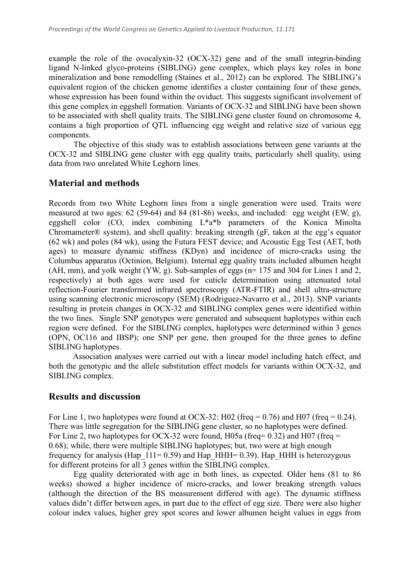example the role of the ovocalyxin-32 (OCX-32) gene and of the small integrin-binding ligand N-linked glyco-proteins (SIBLING) gene complex, which plays key roles in bone mineralization and bone remodelling (Staines et al., 2012) can be explored. The SIBLING's equivalent region of the chicken genome identifies a cluster containing four of these genes, whose expression has been found within the oviduct. This suggests significant involvement of this gene complex in eggshell formation. Variants of OCX-32 and SIBLING have been shown to be associated with shell quality traits. The SIBLING gene cluster found on chromosome 4, contains a high proportion of QTL influencing egg weight and relative size of various egg components.

The objective of this study was to establish associations between gene variants at the OCX-32 and SIBLING gene cluster with egg quality traits, particularly shell quality, using data from two unrelated White Leghorn lines.

## **Material and methods**

Records from two White Leghorn lines from a single generation were used. Traits were measured at two ages: 62 (59-64) and 84 (81-86) weeks, and included: egg weight (EW, g), eggshell color (CO, index combining L\*a\*b parameters of the Konica Minolta Chromameter® system), and shell quality: breaking strength (gF, taken at the egg's equator (62 wk) and poles (84 wk), using the Futura FEST device; and Acoustic Egg Test (AET, both ages) to measure dynamic stiffness (KDyn) and incidence of micro-cracks using the Columbus apparatus (Octinion, Belgium). Internal egg quality traits included albumen height (AH, mm), and yolk weight (YW, g). Sub-samples of eggs (n= 175 and 304 for Lines 1 and 2, respectively) at both ages were used for cuticle determination using attenuated total reflection-Fourier transformed infrared spectroscopy (ATR-FTIR) and shell ultra-structure using scanning electronic microscopy (SEM) (Rodriguez-Navarro et al., 2013). SNP variants resulting in protein changes in OCX-32 and SIBLING complex genes were identified within the two lines. Single SNP genotypes were generated and subsequent haplotypes within each region were defined. For the SIBLING complex, haplotypes were determined within 3 genes (OPN, OC116 and IBSP); one SNP per gene, then grouped for the three genes to define SIBLING haplotypes.

Association analyses were carried out with a linear model including hatch effect, and both the genotypic and the allele substitution effect models for variants within OCX-32, and SIBLING complex.

#### **Results and discussion**

For Line 1, two haplotypes were found at OCX-32: H02 (freq =  $0.76$ ) and H07 (freq =  $0.24$ ). There was little segregation for the SIBLING gene cluster, so no haplotypes were defined. For Line 2, two haplotypes for OCX-32 were found, H05a (freq=  $0.32$ ) and H07 (freq = 0.68); while, there were multiple SIBLING haplotypes; but, two were at high enough frequency for analysis (Hap  $111= 0.59$ ) and Hap HHH= 0.39). Hap HHH is heterozygous for different proteins for all 3 genes within the SIBLING complex.

Egg quality deteriorated with age in both lines, as expected. Older hens (81 to 86 weeks) showed a higher incidence of micro-cracks, and lower breaking strength values (although the direction of the BS measurement differed with age). The dynamic stiffness values didn't differ between ages, in part due to the effect of egg size. There were also higher colour index values, higher grey spot scores and lower albumen height values in eggs from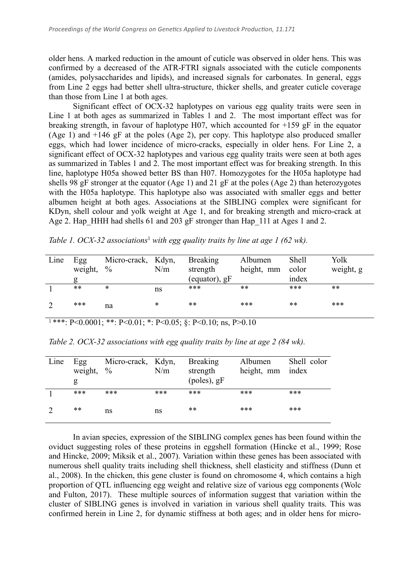older hens. A marked reduction in the amount of cuticle was observed in older hens. This was confirmed by a decreased of the ATR-FTRI signals associated with the cuticle components (amides, polysaccharides and lipids), and increased signals for carbonates. In general, eggs from Line 2 eggs had better shell ultra-structure, thicker shells, and greater cuticle coverage than those from Line 1 at both ages.

Significant effect of OCX-32 haplotypes on various egg quality traits were seen in Line 1 at both ages as summarized in Tables 1 and 2. The most important effect was for breaking strength, in favour of haplotype H07, which accounted for  $+159$  gF in the equator (Age 1) and  $+146$  gF at the poles (Age 2), per copy. This haplotype also produced smaller eggs, which had lower incidence of micro-cracks, especially in older hens. For Line 2, a significant effect of OCX-32 haplotypes and various egg quality traits were seen at both ages as summarized in Tables 1 and 2. The most important effect was for breaking strength. In this line, haplotype H05a showed better BS than H07. Homozygotes for the H05a haplotype had shells 98 gF stronger at the equator (Age 1) and 21 gF at the poles (Age 2) than heterozygotes with the H05a haplotype. This haplotype also was associated with smaller eggs and better albumen height at both ages. Associations at the SIBLING complex were significant for KDyn, shell colour and yolk weight at Age 1, and for breaking strength and micro-crack at Age 2. Hap HHH had shells 61 and 203 gF stronger than Hap 111 at Ages 1 and 2.

| Line | Egg     | Micro-crack, Kdyn, |     | <b>Breaking</b> | Albumen    | <b>Shell</b> | Yolk      |
|------|---------|--------------------|-----|-----------------|------------|--------------|-----------|
|      | weight, | $\frac{0}{0}$      | N/m | strength        | height, mm | color        | weight, g |
|      | g       |                    |     | (equator), $gF$ |            | index        |           |
|      | $***$   | ∗                  | ns  | ***             | **         | ***          | **        |
|      | ***     | na                 | *   | **              | ***        | **           | ***       |

| <sup>1</sup> ***: P<0.0001; **: P<0.01; *: P<0.05; §: P<0.10; ns, P>0.10 |  |  |  |  |
|--------------------------------------------------------------------------|--|--|--|--|
|--------------------------------------------------------------------------|--|--|--|--|

| Table 2. OCX-32 associations with egg quality traits by line at age $2$ (84 wk). |  |  |  |
|----------------------------------------------------------------------------------|--|--|--|
|----------------------------------------------------------------------------------|--|--|--|

| Line | Egg<br>weight,<br>g | Micro-crack, Kdyn,<br>$\frac{0}{0}$ | N/m | <b>Breaking</b><br>strength<br>$(poles)$ , gF | Albumen<br>height, mm | Shell color<br>index |
|------|---------------------|-------------------------------------|-----|-----------------------------------------------|-----------------------|----------------------|
|      | ***                 | ***                                 | *** | ***                                           | ***                   | ***                  |
|      | **                  | ns                                  | ns  | **                                            | ***                   | ***                  |

In avian species, expression of the SIBLING complex genes has been found within the oviduct suggesting roles of these proteins in eggshell formation (Hincke et al., 1999; Rose and Hincke, 2009; Miksik et al., 2007). Variation within these genes has been associated with numerous shell quality traits including shell thickness, shell elasticity and stiffness (Dunn et al., 2008). In the chicken, this gene cluster is found on chromosome 4, which contains a high proportion of QTL influencing egg weight and relative size of various egg components (Wolc and Fulton, 2017). These multiple sources of information suggest that variation within the cluster of SIBLING genes is involved in variation in various shell quality traits. This was confirmed herein in Line 2, for dynamic stiffness at both ages; and in older hens for micro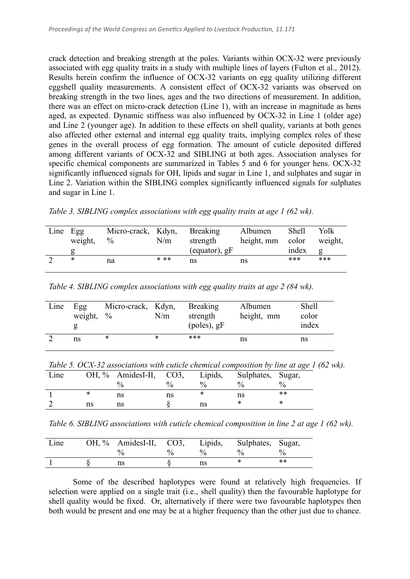crack detection and breaking strength at the poles. Variants within OCX-32 were previously associated with egg quality traits in a study with multiple lines of layers (Fulton et al., 2012). Results herein confirm the influence of OCX-32 variants on egg quality utilizing different eggshell quality measurements. A consistent effect of OCX-32 variants was observed on breaking strength in the two lines, ages and the two directions of measurement. In addition, there was an effect on micro-crack detection (Line 1), with an increase in magnitude as hens aged, as expected. Dynamic stiffness was also influenced by OCX-32 in Line 1 (older age) and Line 2 (younger age). In addition to these effects on shell quality, variants at both genes also affected other external and internal egg quality traits, implying complex roles of these genes in the overall process of egg formation. The amount of cuticle deposited differed among different variants of OCX-32 and SIBLING at both ages. Association analyses for specific chemical components are summarized in Tables 5 and 6 for younger hens. OCX-32 significantly influenced signals for OH, lipids and sugar in Line 1, and sulphates and sugar in Line 2. Variation within the SIBLING complex significantly influenced signals for sulphates and sugar in Line 1.

*Table 3. SIBLING complex associations with egg quality traits at age 1 (62 wk).*

| Line Egg | weight, | Micro-crack, Kdyn, Breaking<br>$\%$ | N/m  | strength<br>(equator), $gF$ | Albumen<br>height, mm | <b>Shell</b><br>color<br>index | Yolk<br>weight, |
|----------|---------|-------------------------------------|------|-----------------------------|-----------------------|--------------------------------|-----------------|
|          | ∗       | na                                  | * ** | ns                          | ns                    | ***                            | ***             |
|          |         |                                     |      |                             |                       |                                |                 |

*Table 4. SIBLING complex associations with egg quality traits at age 2 (84 wk).*

| Line | Egg<br>weight, $\%$ | Micro-crack, Kdyn, | N/m | <b>Breaking</b><br>strength<br>$(poles)$ , gF | Albumen<br>height, mm | <b>Shell</b><br>color<br>index |
|------|---------------------|--------------------|-----|-----------------------------------------------|-----------------------|--------------------------------|
|      | ns                  | *                  | *   | ***                                           | ns                    | ns                             |

*Table 5. OCX-32 associations with cuticle chemical composition by line at age 1 (62 wk).*

| Line |    | OH, % AmidesI-II, CO3,<br>$\frac{0}{0}$ | $\frac{0}{0}$ | Lipids,<br>$\frac{0}{0}$ | Sulphates, Sugar, | 0/2 |
|------|----|-----------------------------------------|---------------|--------------------------|-------------------|-----|
|      |    | ns                                      | ns            |                          | ns                | **  |
|      | ns | ns                                      |               | ns                       | ∗                 |     |

*Table 6. SIBLING associations with cuticle chemical composition in line 2 at age 1 (62 wk).*

| Line | OH, % AmidesI-II, CO3, | Lipids,       | Sulphates, Sugar,         |                       |
|------|------------------------|---------------|---------------------------|-----------------------|
|      |                        | $\frac{0}{0}$ | $\mathsf{U}_{\mathsf{A}}$ | $\mathcal{O}_\Lambda$ |
|      | ns                     | ns            |                           | $**$                  |

Some of the described haplotypes were found at relatively high frequencies. If selection were applied on a single trait (i.e., shell quality) then the favourable haplotype for shell quality would be fixed. Or, alternatively if there were two favourable haplotypes then both would be present and one may be at a higher frequency than the other just due to chance.